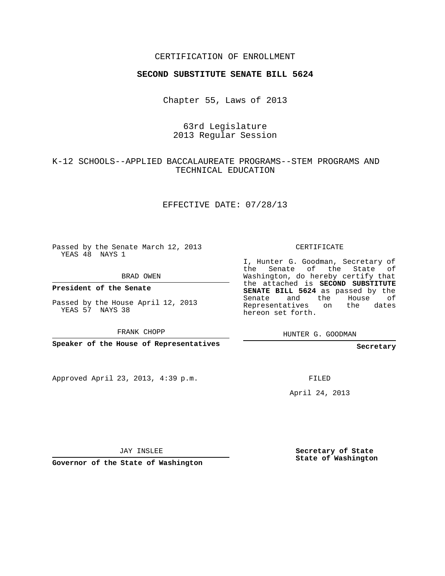#### CERTIFICATION OF ENROLLMENT

#### **SECOND SUBSTITUTE SENATE BILL 5624**

Chapter 55, Laws of 2013

## 63rd Legislature 2013 Regular Session

## K-12 SCHOOLS--APPLIED BACCALAUREATE PROGRAMS--STEM PROGRAMS AND TECHNICAL EDUCATION

#### EFFECTIVE DATE: 07/28/13

Passed by the Senate March 12, 2013 YEAS 48 NAYS 1

BRAD OWEN

**President of the Senate**

Passed by the House April 12, 2013 YEAS 57 NAYS 38

FRANK CHOPP

**Speaker of the House of Representatives**

Approved April 23, 2013, 4:39 p.m.

CERTIFICATE

I, Hunter G. Goodman, Secretary of the Senate of the State of Washington, do hereby certify that the attached is **SECOND SUBSTITUTE SENATE BILL 5624** as passed by the Senate and the House of Representatives on the dates hereon set forth.

HUNTER G. GOODMAN

**Secretary**

FILED

April 24, 2013

JAY INSLEE

**Governor of the State of Washington**

**Secretary of State State of Washington**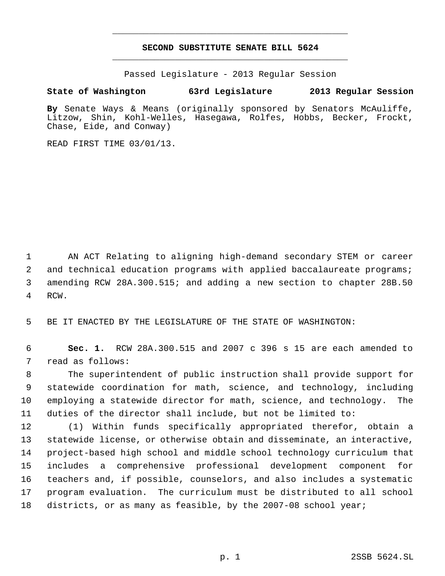# **SECOND SUBSTITUTE SENATE BILL 5624** \_\_\_\_\_\_\_\_\_\_\_\_\_\_\_\_\_\_\_\_\_\_\_\_\_\_\_\_\_\_\_\_\_\_\_\_\_\_\_\_\_\_\_\_\_

\_\_\_\_\_\_\_\_\_\_\_\_\_\_\_\_\_\_\_\_\_\_\_\_\_\_\_\_\_\_\_\_\_\_\_\_\_\_\_\_\_\_\_\_\_

Passed Legislature - 2013 Regular Session

### **State of Washington 63rd Legislature 2013 Regular Session**

**By** Senate Ways & Means (originally sponsored by Senators McAuliffe, Litzow, Shin, Kohl-Welles, Hasegawa, Rolfes, Hobbs, Becker, Frockt, Chase, Eide, and Conway)

READ FIRST TIME 03/01/13.

 AN ACT Relating to aligning high-demand secondary STEM or career and technical education programs with applied baccalaureate programs; amending RCW 28A.300.515; and adding a new section to chapter 28B.50 RCW.

BE IT ENACTED BY THE LEGISLATURE OF THE STATE OF WASHINGTON:

 **Sec. 1.** RCW 28A.300.515 and 2007 c 396 s 15 are each amended to read as follows:

 The superintendent of public instruction shall provide support for statewide coordination for math, science, and technology, including employing a statewide director for math, science, and technology. The duties of the director shall include, but not be limited to:

 (1) Within funds specifically appropriated therefor, obtain a statewide license, or otherwise obtain and disseminate, an interactive, project-based high school and middle school technology curriculum that includes a comprehensive professional development component for teachers and, if possible, counselors, and also includes a systematic program evaluation. The curriculum must be distributed to all school districts, or as many as feasible, by the 2007-08 school year;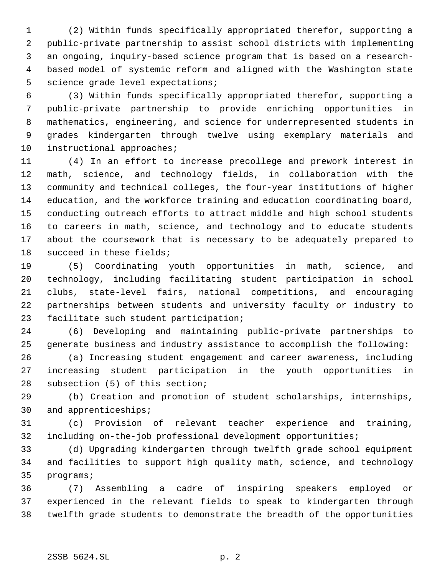(2) Within funds specifically appropriated therefor, supporting a public-private partnership to assist school districts with implementing an ongoing, inquiry-based science program that is based on a research- based model of systemic reform and aligned with the Washington state science grade level expectations;

 (3) Within funds specifically appropriated therefor, supporting a public-private partnership to provide enriching opportunities in mathematics, engineering, and science for underrepresented students in grades kindergarten through twelve using exemplary materials and instructional approaches;

 (4) In an effort to increase precollege and prework interest in math, science, and technology fields, in collaboration with the community and technical colleges, the four-year institutions of higher education, and the workforce training and education coordinating board, conducting outreach efforts to attract middle and high school students to careers in math, science, and technology and to educate students about the coursework that is necessary to be adequately prepared to succeed in these fields;

 (5) Coordinating youth opportunities in math, science, and technology, including facilitating student participation in school clubs, state-level fairs, national competitions, and encouraging partnerships between students and university faculty or industry to facilitate such student participation;

 (6) Developing and maintaining public-private partnerships to generate business and industry assistance to accomplish the following:

 (a) Increasing student engagement and career awareness, including increasing student participation in the youth opportunities in subsection (5) of this section;

 (b) Creation and promotion of student scholarships, internships, and apprenticeships;

 (c) Provision of relevant teacher experience and training, including on-the-job professional development opportunities;

 (d) Upgrading kindergarten through twelfth grade school equipment and facilities to support high quality math, science, and technology programs;

 (7) Assembling a cadre of inspiring speakers employed or experienced in the relevant fields to speak to kindergarten through twelfth grade students to demonstrate the breadth of the opportunities